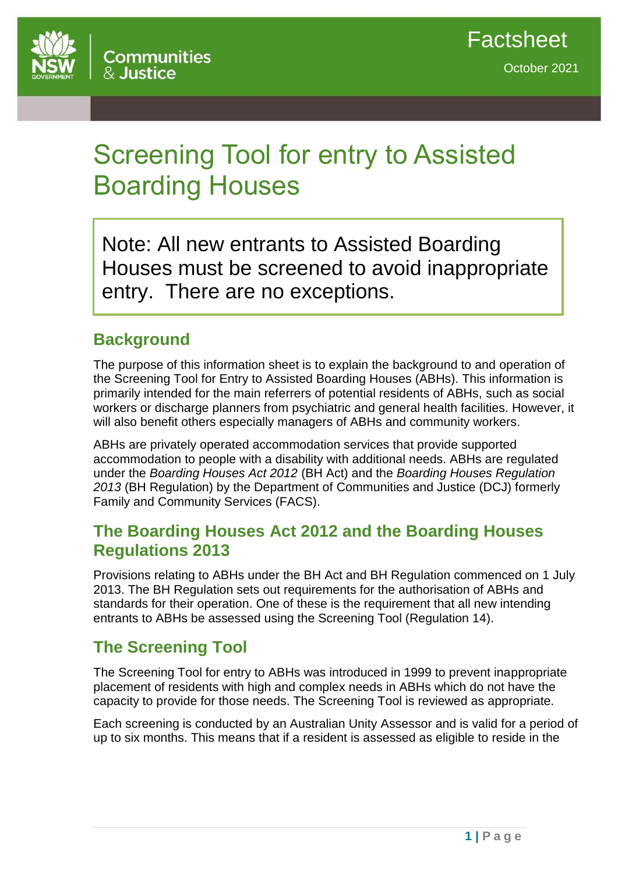

# Screening Tool for entry to Assisted Boarding Houses

Note: All new entrants to Assisted Boarding Houses must be screened to avoid inappropriate entry. There are no exceptions.

## **Background**

The purpose of this information sheet is to explain the background to and operation of the Screening Tool for Entry to Assisted Boarding Houses (ABHs). This information is primarily intended for the main referrers of potential residents of ABHs, such as social workers or discharge planners from psychiatric and general health facilities. However, it will also benefit others especially managers of ABHs and community workers.

ABHs are privately operated accommodation services that provide supported accommodation to people with a disability with additional needs. ABHs are regulated under the *Boarding Houses Act 2012* (BH Act) and the *Boarding Houses Regulation 2013* (BH Regulation) by the Department of Communities and Justice (DCJ) formerly Family and Community Services (FACS).

## **The Boarding Houses Act 2012 and the Boarding Houses Regulations 2013**

Provisions relating to ABHs under the BH Act and BH Regulation commenced on 1 July 2013. The BH Regulation sets out requirements for the authorisation of ABHs and standards for their operation. One of these is the requirement that all new intending entrants to ABHs be assessed using the Screening Tool (Regulation 14).

# **The Screening Tool**

The Screening Tool for entry to ABHs was introduced in 1999 to prevent inappropriate placement of residents with high and complex needs in ABHs which do not have the capacity to provide for those needs. The Screening Tool is reviewed as appropriate.

Each screening is conducted by an Australian Unity Assessor and is valid for a period of up to six months. This means that if a resident is assessed as eligible to reside in the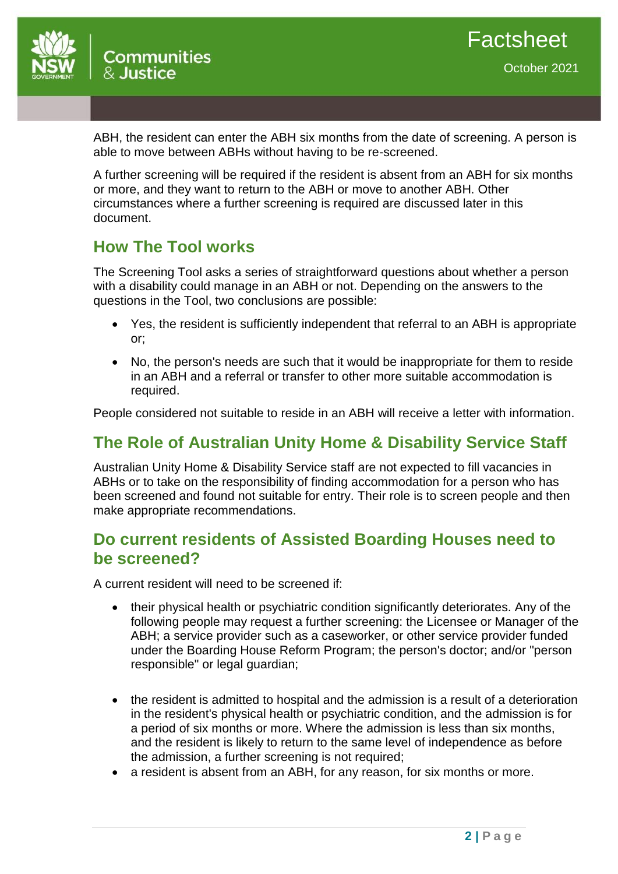

ABH, the resident can enter the ABH six months from the date of screening. A person is able to move between ABHs without having to be re-screened.

A further screening will be required if the resident is absent from an ABH for six months or more, and they want to return to the ABH or move to another ABH. Other circumstances where a further screening is required are discussed later in this document.

## **How The Tool works**

The Screening Tool asks a series of straightforward questions about whether a person with a disability could manage in an ABH or not. Depending on the answers to the questions in the Tool, two conclusions are possible:

- Yes, the resident is sufficiently independent that referral to an ABH is appropriate or;
- No, the person's needs are such that it would be inappropriate for them to reside in an ABH and a referral or transfer to other more suitable accommodation is required.

People considered not suitable to reside in an ABH will receive a letter with information.

# **The Role of Australian Unity Home & Disability Service Staff**

Australian Unity Home & Disability Service staff are not expected to fill vacancies in ABHs or to take on the responsibility of finding accommodation for a person who has been screened and found not suitable for entry. Their role is to screen people and then make appropriate recommendations.

## **Do current residents of Assisted Boarding Houses need to be screened?**

A current resident will need to be screened if:

- their physical health or psychiatric condition significantly deteriorates. Any of the following people may request a further screening: the Licensee or Manager of the ABH; a service provider such as a caseworker, or other service provider funded under the Boarding House Reform Program; the person's doctor; and/or "person responsible" or legal guardian;
- the resident is admitted to hospital and the admission is a result of a deterioration in the resident's physical health or psychiatric condition, and the admission is for a period of six months or more. Where the admission is less than six months, and the resident is likely to return to the same level of independence as before the admission, a further screening is not required;
- a resident is absent from an ABH, for any reason, for six months or more.